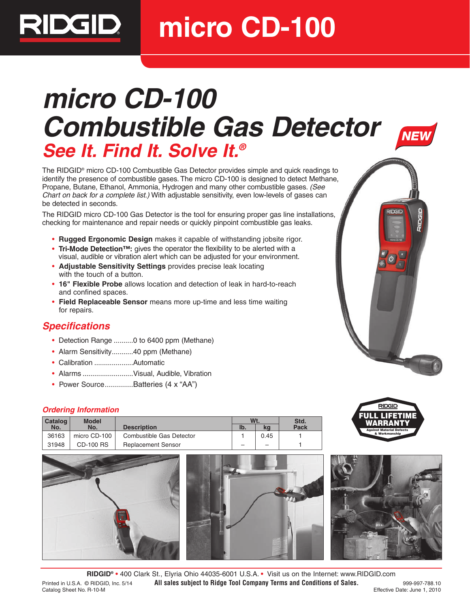**micro CD-100**

# **micro CD-100 Combustible Gas Detector See It. Find It. Solve It.®**



The RIDGID® micro CD-100 Combustible Gas Detector provides simple and quick readings to identify the presence of combustible gases. The micro CD-100 is designed to detect Methane, Propane, Butane, Ethanol, Ammonia, Hydrogen and many other combustible gases. (See Chart on back for a complete list.) With adjustable sensitivity, even low-levels of gases can be detected in seconds.

The RIDGID micro CD-100 Gas Detector is the tool for ensuring proper gas line installations, checking for maintenance and repair needs or quickly pinpoint combustible gas leaks.

- **Rugged Ergonomic Design** makes it capable of withstanding jobsite rigor.
- **Tri-Mode Detection™:** gives the operator the flexibility to be alerted with a visual, audible or vibration alert which can be adjusted for your environment.
- **Adjustable Sensitivity Settings** provides precise leak locating with the touch of a button.
- **16" Flexible Probe** allows location and detection of leak in hard-to-reach and confined spaces.
- **Field Replaceable Sensor** means more up-time and less time waiting for repairs.

## **Specifications**

RIDGID. I

- Detection Range ..........0 to 6400 ppm (Methane)
- Alarm Sensitivity...........40 ppm (Methane)
- Calibration ....................Automatic
- Alarms ..........................Visual, Audible, Vibration
- Power Source..............Batteries (4 x "AA")

#### **Ordering Information**

| <b>Catalog</b> | <b>Model</b>     |                           | Wt. |      | Std.        |
|----------------|------------------|---------------------------|-----|------|-------------|
| No.            | No.              | <b>Description</b>        | Ib. | kq   | <b>Pack</b> |
| 36163          | micro CD-100     | Combustible Gas Detector  |     | 0.45 |             |
| 31948          | <b>CD-100 RS</b> | <b>Replacement Sensor</b> | -   | -    |             |